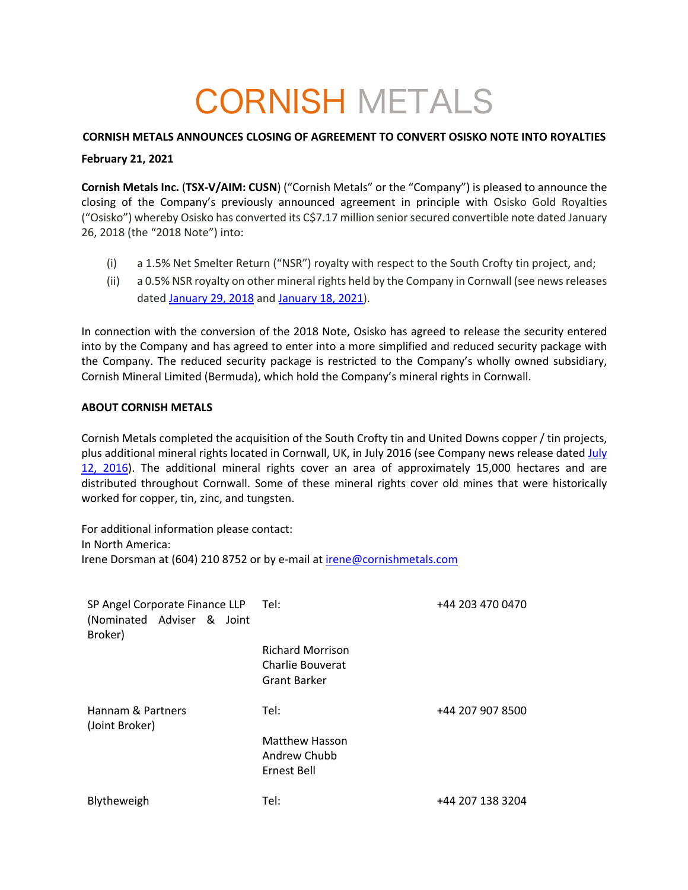# CORNISH METALS

## **CORNISH METALS ANNOUNCES CLOSING OF AGREEMENT TO CONVERT OSISKO NOTE INTO ROYALTIES**

### **February 21, 2021**

**Cornish Metals Inc.** (**TSX-V/AIM: CUSN**) ("Cornish Metals" or the "Company") is pleased to announce the closing of the Company's previously announced agreement in principle with Osisko Gold Royalties ("Osisko") whereby Osisko has converted its C\$7.17 million senior secured convertible note dated January 26, 2018 (the "2018 Note") into:

- (i) a 1.5% Net Smelter Return ("NSR") royalty with respect to the South Crofty tin project, and;
- (ii) a 0.5% NSR royalty on other mineral rights held by the Company in Cornwall (see news releases dated January 29, 2018 and January 18, 2021).

In connection with the conversion of the 2018 Note, Osisko has agreed to release the security entered into by the Company and has agreed to enter into a more simplified and reduced security package with the Company. The reduced security package is restricted to the Company's wholly owned subsidiary, Cornish Mineral Limited (Bermuda), which hold the Company's mineral rights in Cornwall.

## **ABOUT CORNISH METALS**

Cornish Metals completed the acquisition of the South Crofty tin and United Downs copper / tin projects, plus additional mineral rights located in Cornwall, UK, in July 2016 (see Company news release dated July 12, 2016). The additional mineral rights cover an area of approximately 15,000 hectares and are distributed throughout Cornwall. Some of these mineral rights cover old mines that were historically worked for copper, tin, zinc, and tungsten.

For additional information please contact: In North America: Irene Dorsman at (604) 210 8752 or by e-mail at irene@cornishmetals.com

| SP Angel Corporate Finance LLP Tel:<br>(Nominated Adviser & Joint<br>Broker) |                                                                    | +44 203 470 0470 |
|------------------------------------------------------------------------------|--------------------------------------------------------------------|------------------|
|                                                                              | <b>Richard Morrison</b><br>Charlie Bouverat<br><b>Grant Barker</b> |                  |
| Hannam & Partners<br>(Joint Broker)                                          | Tel:                                                               | +44 207 907 8500 |
|                                                                              | <b>Matthew Hasson</b>                                              |                  |
|                                                                              | Andrew Chubb                                                       |                  |
|                                                                              | Ernest Bell                                                        |                  |
| Blytheweigh                                                                  | Tel:                                                               | +44 207 138 3204 |